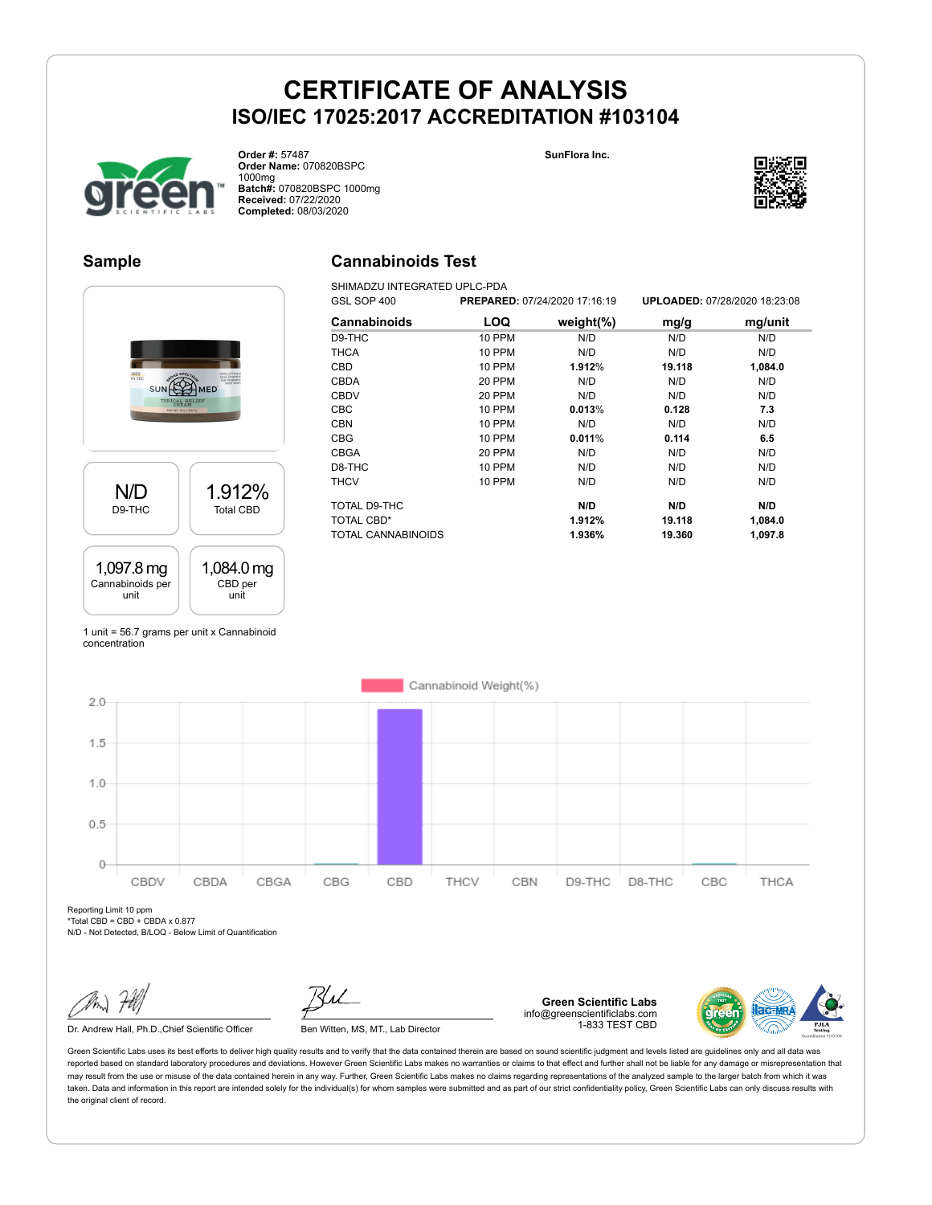



**Order #:** 57487 **Order Name:** 070820BSPC 1000mg **Batch#:** 070820BSPC 1000mg **Received:** 07/22/2020 **Completed:** 08/03/2020

### **Sample**

## **Cannabinoids Test**

SHIMADZU INTEGRATED UPLC-PDA



| GSL SOP 400               | PREPARED: 07/24/2020 17:16:19 |               |        | UPLOADED: 07/28/2020 18:23:08 |
|---------------------------|-------------------------------|---------------|--------|-------------------------------|
| <b>Cannabinoids</b>       | LOQ                           | weight $(\%)$ | mg/g   | mg/unit                       |
| D9-THC                    | <b>10 PPM</b>                 | N/D           | N/D    | N/D                           |
| <b>THCA</b>               | <b>10 PPM</b>                 | N/D           | N/D    | N/D                           |
| <b>CBD</b>                | <b>10 PPM</b>                 | 1.912%        | 19.118 | 1,084.0                       |
| <b>CBDA</b>               | 20 PPM                        | N/D           | N/D    | N/D                           |
| <b>CBDV</b>               | 20 PPM                        | N/D           | N/D    | N/D                           |
| <b>CBC</b>                | 10 PPM                        | 0.013%        | 0.128  | 7.3                           |
| <b>CBN</b>                | <b>10 PPM</b>                 | N/D           | N/D    | N/D                           |
| <b>CBG</b>                | <b>10 PPM</b>                 | 0.011%        | 0.114  | 6.5                           |
| <b>CBGA</b>               | 20 PPM                        | N/D           | N/D    | N/D                           |
| D8-THC                    | 10 PPM                        | N/D           | N/D    | N/D                           |
| THCV                      | 10 PPM                        | N/D           | N/D    | N/D                           |
| TOTAL D9-THC              |                               | N/D           | N/D    | N/D                           |
| <b>TOTAL CBD*</b>         |                               | 1.912%        | 19.118 | 1,084.0                       |
| <b>TOTAL CANNABINOIDS</b> |                               | 1.936%        | 19.360 | 1.097.8                       |

1 unit = 56.7 grams per unit x Cannabinoid concentration



Reporting Limit 10 ppm \*Total CBD = CBD + CBDA x 0.877

N/D - Not Detected, B/LOQ - Below Limit of Quantification

Dr. Andrew Hall, Ph.D., Chief Scientific Officer Ben Witten, MS, MT., Lab Director

**Green Scientific Labs** info@greenscientificlabs.com 1-833 TEST CBD



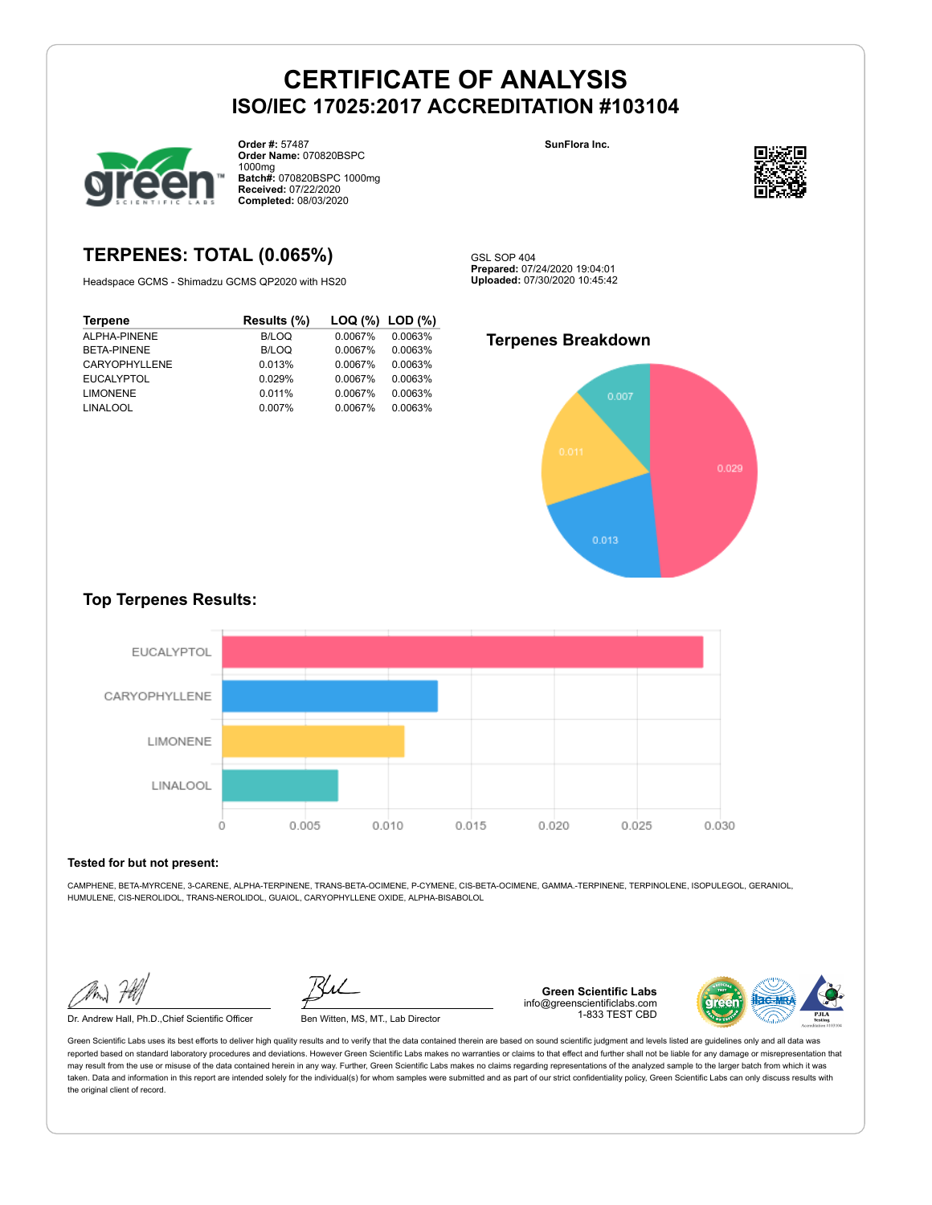

**Order #:** 57487 **Order Name:** 070820BSPC 1000mg **Batch#:** 070820BSPC 1000mg **Received:** 07/22/2020 **Completed:** 08/03/2020

**SunFlora Inc.**



# **TERPENES: TOTAL (0.065%)**

Headspace GCMS - Shimadzu GCMS QP2020 with HS20

| <b>Terpene</b>     | Results (%) |         | LOG (%) LOD (%) |
|--------------------|-------------|---------|-----------------|
| ALPHA-PINENE       | B/LOQ       | 0.0067% | 0.0063%         |
| <b>BETA-PINENE</b> | B/LOQ       | 0.0067% | 0.0063%         |
| CARYOPHYLLENE      | 0.013%      | 0.0067% | 0.0063%         |
| <b>EUCALYPTOL</b>  | 0.029%      | 0.0067% | 0.0063%         |
| <b>LIMONENE</b>    | 0.011%      | 0.0067% | 0.0063%         |
| <b>LINALOOL</b>    | 0.007%      | 0.0067% | 0.0063%         |
|                    |             |         |                 |

**Uploaded:** 07/30/2020 10:45:42

**Prepared:** 07/24/2020 19:04:01

GSL SOP 404

### **Terpenes Breakdown**



### **Top Terpenes Results:**



#### **Tested for but not present:**

CAMPHENE, BETA-MYRCENE, 3-CARENE, ALPHA-TERPINENE, TRANS-BETA-OCIMENE, P-CYMENE, CIS-BETA-OCIMENE, GAMMA.-TERPINENE, TERPINOLENE, ISOPULEGOL, GERANIOL, HUMULENE, CIS-NEROLIDOL, TRANS-NEROLIDOL, GUAIOL, CARYOPHYLLENE OXIDE, ALPHA-BISABOLOL

Dr. Andrew Hall, Ph.D.,Chief Scientific Officer Ben Witten, MS, MT., Lab Director

**Green Scientific Labs** info@greenscientificlabs.com 1-833 TEST CBD

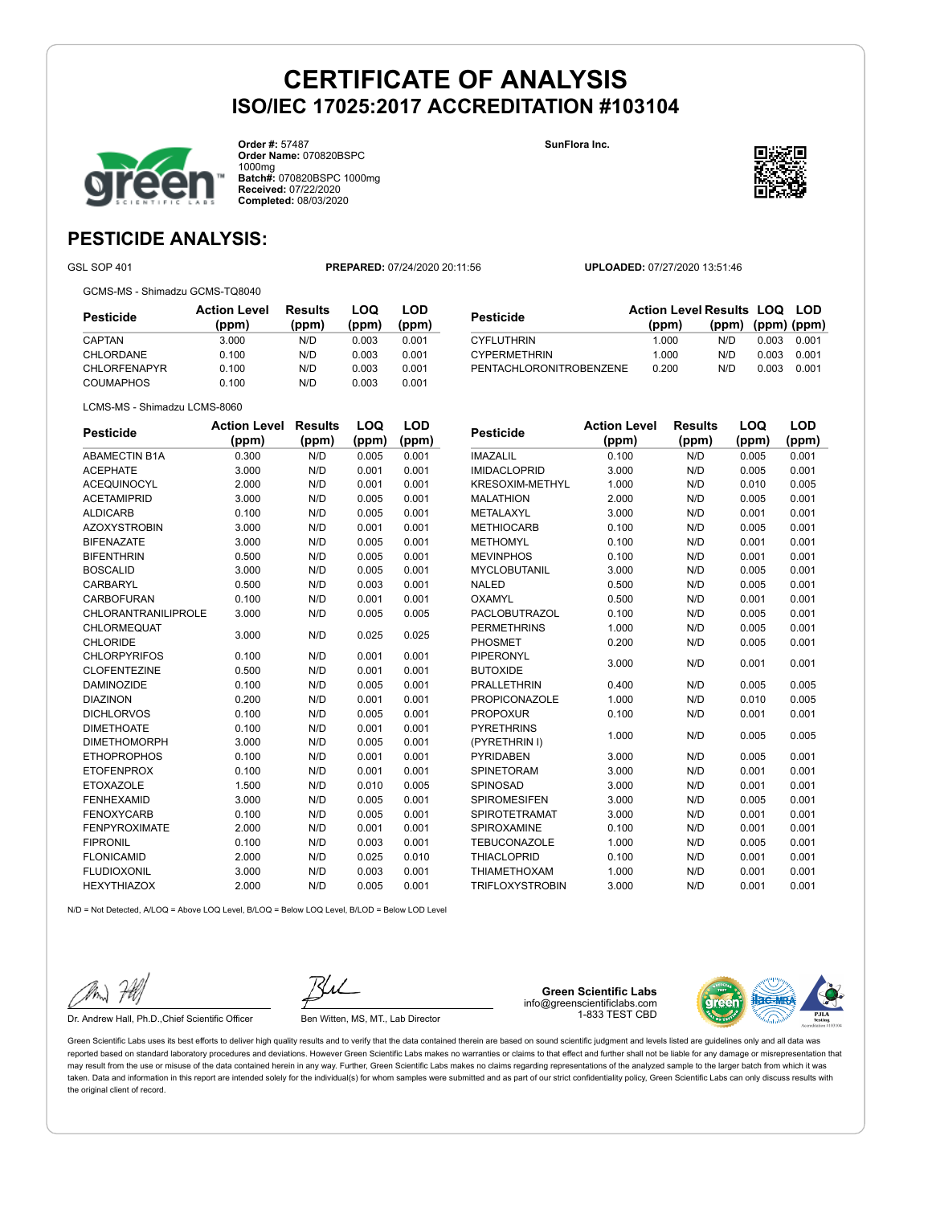

**Order #:** 57487 **Order Name:** 070820BSPC 1000mg **Batch#:** 070820BSPC 1000mg **Received:** 07/22/2020 **Completed:** 08/03/2020

**SunFlora Inc.**



# **PESTICIDE ANALYSIS:**

GSL SOP 401 **PREPARED:** 07/24/2020 20:11:56 **UPLOADED:** 07/27/2020 13:51:46

GCMS-MS - Shimadzu GCMS-TQ8040

**Pesticide Action Level (ppm) Results (ppm) LOQ (ppm) LOD (ppm)** CAPTAN 3.000 N/D 0.003 0.001 CHLORDANE 0.100 N/D 0.003 0.001 CHLORFENAPYR 0.100 N/D 0.003 0.001 COUMAPHOS 0.100 N/D 0.003 0.001

| Pesticide                      | <b>Action Level</b><br>(ppm) | <b>Results</b><br>(ppm) | LOQ<br>(ppm) | <b>LOD</b><br>(ppm) |
|--------------------------------|------------------------------|-------------------------|--------------|---------------------|
| ABAMECTIN B1A                  | 0.300                        | N/D                     | 0.005        | 0.001               |
| ACEPHATE                       | 3.000                        | N/D                     | 0.001        | 0.001               |
| <b>ACEQUINOCYL</b>             | 2.000                        | N/D                     | 0.001        | 0.001               |
| <b>ACETAMIPRID</b>             | 3.000                        | N/D                     | 0.005        | 0.001               |
| <b>ALDICARB</b>                | 0.100                        | N/D                     | 0.005        | 0.001               |
| <b>AZOXYSTROBIN</b>            | 3.000                        | N/D                     | 0.001        | 0.001               |
| <b>BIFENAZATE</b>              | 3.000                        | N/D                     | 0.005        | 0.001               |
| BIFENTHRIN                     | 0.500                        | N/D                     | 0.005        | 0.001               |
| BOSCALID                       | 3.000                        | N/D                     | 0.005        | 0.001               |
| CARBARYL                       | 0.500                        | N/D                     | 0.003        | 0.001               |
| CARBOFURAN                     | 0.100                        | N/D                     | 0.001        | 0.001               |
| CHLORANTRANILIPROLE            | 3.000                        | N/D                     | 0.005        | 0.005               |
| CHLORMEQUAT<br><b>CHLORIDE</b> | 3.000                        | N/D                     | 0.025        | 0.025               |
| <b>CHLORPYRIFOS</b>            | 0.100                        | N/D                     | 0.001        | 0.001               |
| <b>CLOFENTEZINE</b>            | 0.500                        | N/D                     | 0.001        | 0.001               |
| DAMINOZIDE                     | 0.100                        | N/D                     | 0.005        | 0.001               |
| <b>DIAZINON</b>                | 0.200                        | N/D                     | 0.001        | 0.001               |
| <b>DICHLORVOS</b>              | 0.100                        | N/D                     | 0.005        | 0.001               |
| <b>DIMETHOATE</b>              | 0.100                        | N/D                     | 0.001        | 0.001               |
| <b>DIMETHOMORPH</b>            | 3.000                        | N/D                     | 0.005        | 0.001               |
| <b>ETHOPROPHOS</b>             | 0.100                        | N/D                     | 0.001        | 0.001               |
| <b>ETOFENPROX</b>              | 0.100                        | N/D                     | 0.001        | 0.001               |
| <b>ETOXAZOLE</b>               | 1.500                        | N/D                     | 0.010        | 0.005               |
| FENHEXAMID                     | 3.000                        | N/D                     | 0.005        | 0.001               |
| <b>FENOXYCARB</b>              | 0.100                        | N/D                     | 0.005        | 0.001               |
| <b>FENPYROXIMATE</b>           | 2.000                        | N/D                     | 0.001        | 0.001               |
| <b>FIPRONIL</b>                | 0.100                        | N/D                     | 0.003        | 0.001               |
| <b>FLONICAMID</b>              | 2.000                        | N/D                     | 0.025        | 0.010               |
| <b>FLUDIOXONIL</b>             | 3.000                        | N/D                     | 0.003        | 0.001               |
| <b>HEXYTHIAZOX</b>             | 2.000                        | N/D                     | 0.005        | 0.001               |
|                                |                              |                         |              |                     |

| Pesticide                      |                     | <b>Action Level Results LOQ</b><br>(ppm) |         | (ppm) | $(ppm)$ (ppm) | LOD   |
|--------------------------------|---------------------|------------------------------------------|---------|-------|---------------|-------|
| <b>CYFLUTHRIN</b>              |                     | 1.000                                    |         | N/D   | 0.003         | 0.001 |
| <b>CYPERMETHRIN</b>            |                     | 1.000                                    |         | N/D   | 0.003         | 0.001 |
| <b>PENTACHLORONITROBENZENE</b> |                     | 0.200                                    |         | N/D   | 0.003         | 0.001 |
|                                | <b>Action Level</b> |                                          | Results | LOQ   |               | LOD   |
| Pesticide                      | (ppm)               |                                          | (ppm)   |       | (ppm)         | (ppm) |
| <b>INAA 7 AL II</b>            | 0.100               |                                          | N/N     | n nne |               | 0.001 |

LCMS-MS - Shimadzu LCMS-8060

| 1A7AI II               | 0.100                        | N/D              |     | 0.005        | <u>በ በበ1</u> |
|------------------------|------------------------------|------------------|-----|--------------|--------------|
| esticide               | <b>Action Level</b><br>(ppm) | Results<br>(ppm) |     | LOQ<br>(ppm) | LOD<br>(ppm) |
|                        |                              |                  |     |              |              |
| ENTACHLORONITROBENZENE |                              | 0.200            | N/D | 0.003        | 0.001        |
| YPERMETHRIN            |                              | 1.000            | N/D | 0.003        | 0.001        |
| YFLUTHRIN              |                              | 1.000            | N/D | 0.003        | 0.001        |

| IMAZALIL               | 0.100 | N/D | 0.005 | 0.001 |
|------------------------|-------|-----|-------|-------|
| <b>IMIDACLOPRID</b>    | 3.000 | N/D | 0.005 | 0.001 |
| <b>KRESOXIM-METHYL</b> | 1.000 | N/D | 0.010 | 0.005 |
| <b>MALATHION</b>       | 2.000 | N/D | 0.005 | 0.001 |
| METALAXYL              | 3.000 | N/D | 0.001 | 0.001 |
| <b>METHIOCARB</b>      | 0.100 | N/D | 0.005 | 0.001 |
| <b>METHOMYL</b>        | 0.100 | N/D | 0.001 | 0.001 |
| <b>MEVINPHOS</b>       | 0.100 | N/D | 0.001 | 0.001 |
| MYCLOBUTANIL           | 3.000 | N/D | 0.005 | 0.001 |
| <b>NALED</b>           | 0.500 | N/D | 0.005 | 0.001 |
| <b>OXAMYL</b>          | 0.500 | N/D | 0.001 | 0.001 |
| <b>PACLOBUTRAZOL</b>   | 0.100 | N/D | 0.005 | 0.001 |
| <b>PERMETHRINS</b>     | 1.000 | N/D | 0.005 | 0.001 |
| PHOSMET                | 0.200 | N/D | 0.005 | 0.001 |
| <b>PIPERONYL</b>       | 3.000 | N/D | 0.001 | 0.001 |
| <b>BUTOXIDE</b>        |       |     |       |       |
| <b>PRALLETHRIN</b>     | 0.400 | N/D | 0.005 | 0.005 |
| <b>PROPICONAZOLE</b>   | 1.000 | N/D | 0.010 | 0.005 |
| <b>PROPOXUR</b>        | 0.100 | N/D | 0.001 | 0.001 |
| <b>PYRETHRINS</b>      | 1.000 | N/D | 0.005 | 0.005 |
| (PYRETHRIN I)          |       |     |       |       |
| <b>PYRIDABEN</b>       | 3.000 | N/D | 0.005 | 0.001 |
| SPINETORAM             | 3.000 | N/D | 0.001 | 0.001 |
| <b>SPINOSAD</b>        | 3.000 | N/D | 0.001 | 0.001 |
| <b>SPIROMESIFEN</b>    | 3.000 | N/D | 0.005 | 0.001 |
| <b>SPIROTETRAMAT</b>   | 3.000 | N/D | 0.001 | 0.001 |
| <b>SPIROXAMINE</b>     | 0.100 | N/D | 0.001 | 0.001 |
| <b>TEBUCONAZOLE</b>    | 1.000 | N/D | 0.005 | 0.001 |
| <b>THIACLOPRID</b>     | 0.100 | N/D | 0.001 | 0.001 |
| <b>THIAMETHOXAM</b>    | 1.000 | N/D | 0.001 | 0.001 |
| <b>TRIFLOXYSTROBIN</b> | 3.000 | N/D | 0.001 | 0.001 |

N/D = Not Detected, A/LOQ = Above LOQ Level, B/LOQ = Below LOQ Level, B/LOD = Below LOD Level

Dr. Andrew Hall, Ph.D., Chief Scientific Officer Ben Witten, MS, MT., Lab Director

**Green Scientific Labs** info@greenscientificlabs.com 1-833 TEST CBD

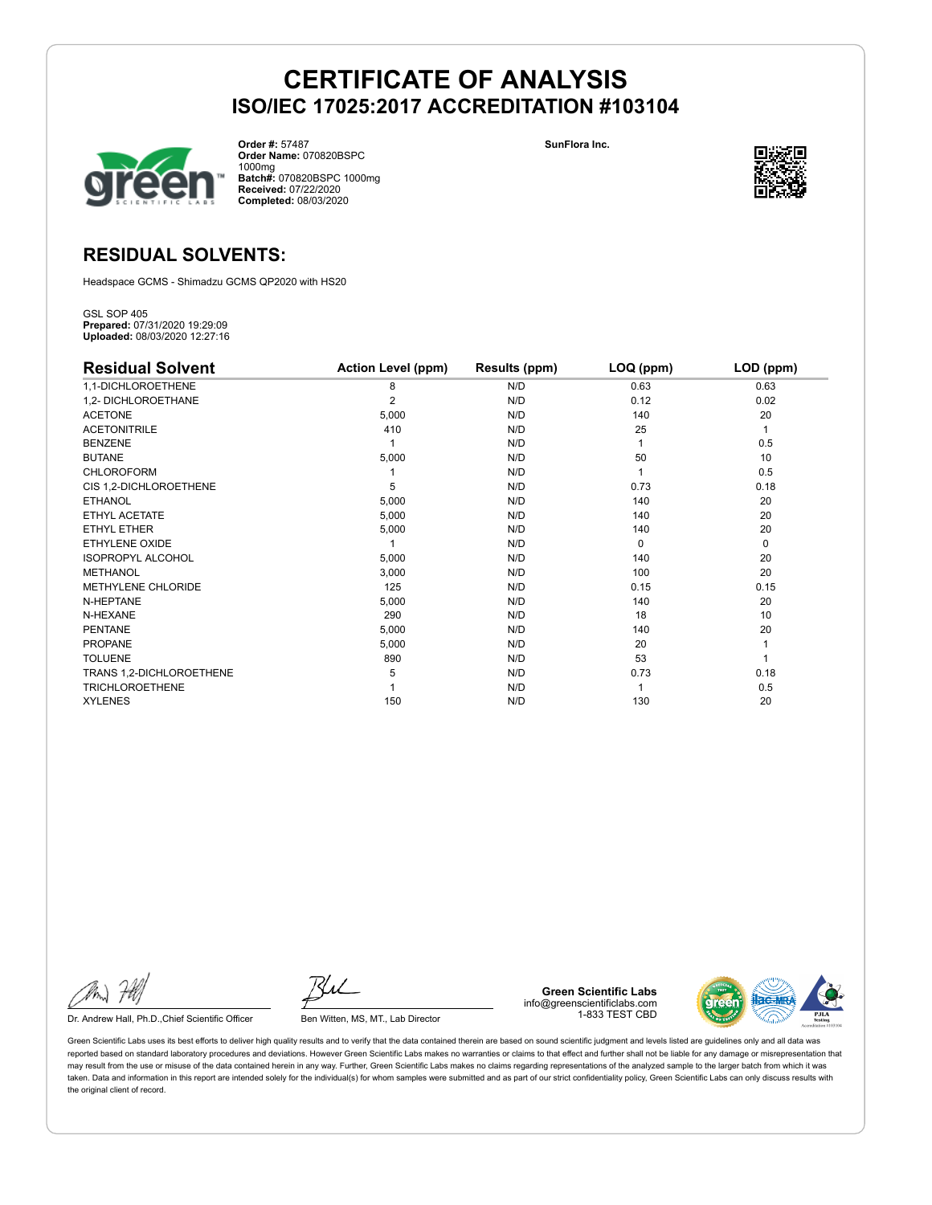

**Order #:** 57487 **Order Name:** 070820BSPC 1000mg **Batch#:** 070820BSPC 1000mg **Received:** 07/22/2020 **Completed:** 08/03/2020

**SunFlora Inc.**



# **RESIDUAL SOLVENTS:**

Headspace GCMS - Shimadzu GCMS QP2020 with HS20

GSL SOP 405 **Prepared:** 07/31/2020 19:29:09 **Uploaded:** 08/03/2020 12:27:16

| <b>Residual Solvent</b>  | <b>Action Level (ppm)</b> | Results (ppm) | $LOQ$ (ppm) | LOD (ppm) |
|--------------------------|---------------------------|---------------|-------------|-----------|
| 1,1-DICHLOROETHENE       | 8                         | N/D           | 0.63        | 0.63      |
| 1,2- DICHLOROETHANE      | $\overline{2}$            | N/D           | 0.12        | 0.02      |
| <b>ACETONE</b>           | 5,000                     | N/D           | 140         | 20        |
| <b>ACETONITRILE</b>      | 410                       | N/D           | 25          | 1         |
| <b>BENZENE</b>           |                           | N/D           |             | 0.5       |
| <b>BUTANE</b>            | 5,000                     | N/D           | 50          | 10        |
| <b>CHLOROFORM</b>        |                           | N/D           |             | 0.5       |
| CIS 1,2-DICHLOROETHENE   | 5                         | N/D           | 0.73        | 0.18      |
| <b>ETHANOL</b>           | 5,000                     | N/D           | 140         | 20        |
| ETHYL ACETATE            | 5,000                     | N/D           | 140         | 20        |
| <b>ETHYL ETHER</b>       | 5,000                     | N/D           | 140         | 20        |
| ETHYLENE OXIDE           |                           | N/D           | $\Omega$    | 0         |
| <b>ISOPROPYL ALCOHOL</b> | 5,000                     | N/D           | 140         | 20        |
| <b>METHANOL</b>          | 3,000                     | N/D           | 100         | 20        |
| METHYLENE CHLORIDE       | 125                       | N/D           | 0.15        | 0.15      |
| N-HEPTANE                | 5,000                     | N/D           | 140         | 20        |
| N-HEXANE                 | 290                       | N/D           | 18          | 10        |
| <b>PENTANE</b>           | 5,000                     | N/D           | 140         | 20        |
| <b>PROPANE</b>           | 5,000                     | N/D           | 20          |           |
| <b>TOLUENE</b>           | 890                       | N/D           | 53          |           |
| TRANS 1,2-DICHLOROETHENE | 5                         | N/D           | 0.73        | 0.18      |
| <b>TRICHLOROETHENE</b>   |                           | N/D           |             | 0.5       |
| <b>XYLENES</b>           | 150                       | N/D           | 130         | 20        |

Dr. Andrew Hall, Ph.D., Chief Scientific Officer Ben Witten, MS, MT., Lab Director

**Green Scientific Labs** info@greenscientificlabs.com 1-833 TEST CBD

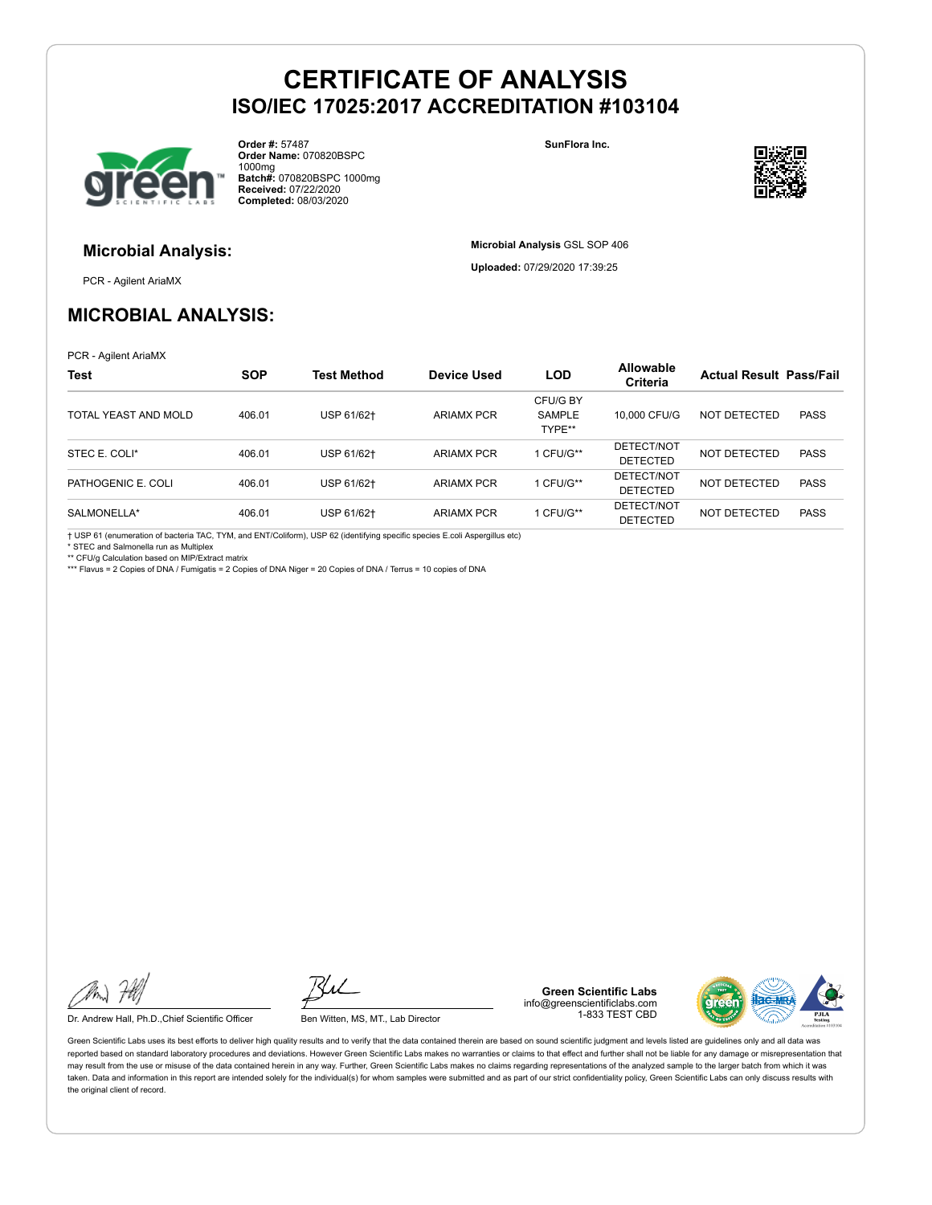

**Order #:** 57487 **Order Name:** 070820BSPC 1000mg **Batch#:** 070820BSPC 1000mg **Received:** 07/22/2020 **Completed:** 08/03/2020

**SunFlora Inc.**

**Microbial Analysis** GSL SOP 406 **Uploaded:** 07/29/2020 17:39:25



# **Microbial Analysis:**

PCR - Agilent AriaMX

# **MICROBIAL ANALYSIS:**

PCR - Agilent AriaMX

| <b>Test</b>          | <b>SOP</b> | <b>Test Method</b> | <b>Device Used</b> | <b>LOD</b>                          | <b>Allowable</b><br>Criteria  | <b>Actual Result Pass/Fail</b> |             |
|----------------------|------------|--------------------|--------------------|-------------------------------------|-------------------------------|--------------------------------|-------------|
| TOTAL YEAST AND MOLD | 406.01     | USP 61/62+         | <b>ARIAMX PCR</b>  | CFU/G BY<br><b>SAMPLE</b><br>TYPE** | 10,000 CFU/G                  | NOT DETECTED                   | <b>PASS</b> |
| STEC E. COLI*        | 406.01     | USP 61/62+         | <b>ARIAMX PCR</b>  | I CFU/G**                           | DETECT/NOT<br><b>DETECTED</b> | NOT DETECTED                   | <b>PASS</b> |
| PATHOGENIC E. COLI   | 406.01     | USP 61/62+         | <b>ARIAMX PCR</b>  | 1 CFU/G**                           | DETECT/NOT<br><b>DETECTED</b> | NOT DETECTED                   | <b>PASS</b> |
| SALMONELLA*          | 406.01     | USP 61/62+         | <b>ARIAMX PCR</b>  | I CFU/G**                           | DETECT/NOT<br><b>DETECTED</b> | <b>NOT DETECTED</b>            | <b>PASS</b> |

† USP 61 (enumeration of bacteria TAC, TYM, and ENT/Coliform), USP 62 (identifying specific species E.coli Aspergillus etc)

STEC and Salmonella run as Multiplex

\*\* CFU/g Calculation based on MIP/Extract matrix

\*\*\* Flavus = 2 Copies of DNA / Fumigatis = 2 Copies of DNA Niger = 20 Copies of DNA / Terrus = 10 copies of DNA

Dr. Andrew Hall, Ph.D., Chief Scientific Officer Ben Witten, MS, MT., Lab Director

**Green Scientific Labs** info@greenscientificlabs.com 1-833 TEST CBD